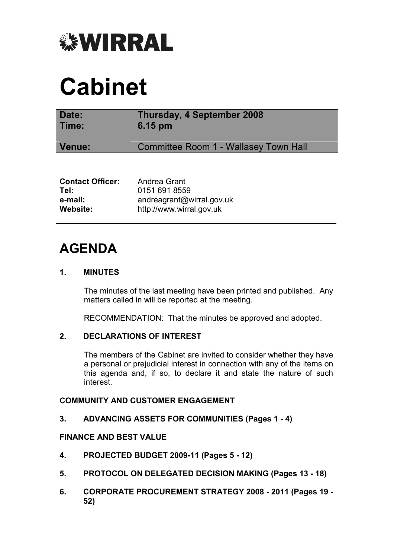

# Cabinet

| Date:<br>Time:          | <b>Thursday, 4 September 2008</b><br>6.15 pm |
|-------------------------|----------------------------------------------|
| Venue:                  | <b>Committee Room 1 - Wallasey Town Hall</b> |
|                         |                                              |
| <b>Contact Officer:</b> | Andrea Grant                                 |

| <b>UUIILAUL UIIILU.</b> | Aliulta vidill            |
|-------------------------|---------------------------|
| Tel:                    | 0151 691 8559             |
| e-mail:                 | andreagrant@wirral.gov.uk |
| Website:                | http://www.wirral.gov.uk  |
|                         |                           |

# AGENDA

# 1. MINUTES

 The minutes of the last meeting have been printed and published. Any matters called in will be reported at the meeting.

RECOMMENDATION: That the minutes be approved and adopted.

# 2. DECLARATIONS OF INTEREST

 The members of the Cabinet are invited to consider whether they have a personal or prejudicial interest in connection with any of the items on this agenda and, if so, to declare it and state the nature of such interest.

# COMMUNITY AND CUSTOMER ENGAGEMENT

3. ADVANCING ASSETS FOR COMMUNITIES (Pages 1 - 4)

# FINANCE AND BEST VALUE

- 4. PROJECTED BUDGET 2009-11 (Pages 5 12)
- 5. PROTOCOL ON DELEGATED DECISION MAKING (Pages 13 18)
- 6. CORPORATE PROCUREMENT STRATEGY 2008 2011 (Pages 19 52)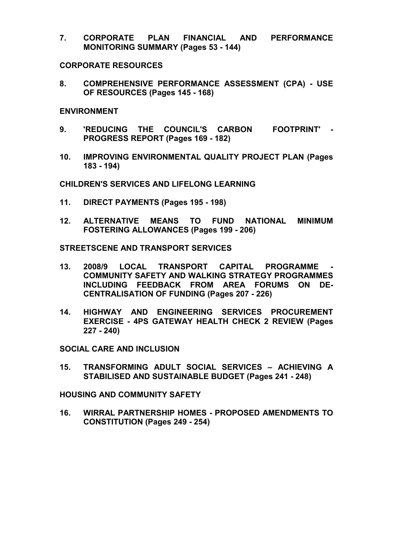7. CORPORATE PLAN FINANCIAL AND PERFORMANCE MONITORING SUMMARY (Pages 53 - 144)

# CORPORATE RESOURCES

8. COMPREHENSIVE PERFORMANCE ASSESSMENT (CPA) - USE OF RESOURCES (Pages 145 - 168)

#### ENVIRONMENT

- 9. 'REDUCING THE COUNCIL'S CARBON FOOTPRINT' PROGRESS REPORT (Pages 169 - 182)
- 10. IMPROVING ENVIRONMENTAL QUALITY PROJECT PLAN (Pages 183 - 194)

#### CHILDREN'S SERVICES AND LIFELONG LEARNING

- 11. DIRECT PAYMENTS (Pages 195 198)
- 12. ALTERNATIVE MEANS TO FUND NATIONAL MINIMUM FOSTERING ALLOWANCES (Pages 199 - 206)

#### STREETSCENE AND TRANSPORT SERVICES

- 13. 2008/9 LOCAL TRANSPORT CAPITAL PROGRAMME COMMUNITY SAFETY AND WALKING STRATEGY PROGRAMMES INCLUDING FEEDBACK FROM AREA FORUMS ON DE-CENTRALISATION OF FUNDING (Pages 207 - 226)
- 14. HIGHWAY AND ENGINEERING SERVICES PROCUREMENT EXERCISE - 4PS GATEWAY HEALTH CHECK 2 REVIEW (Pages 227 - 240)

# SOCIAL CARE AND INCLUSION

15. TRANSFORMING ADULT SOCIAL SERVICES – ACHIEVING A STABILISED AND SUSTAINABLE BUDGET (Pages 241 - 248)

#### HOUSING AND COMMUNITY SAFETY

16. WIRRAL PARTNERSHIP HOMES - PROPOSED AMENDMENTS TO CONSTITUTION (Pages 249 - 254)